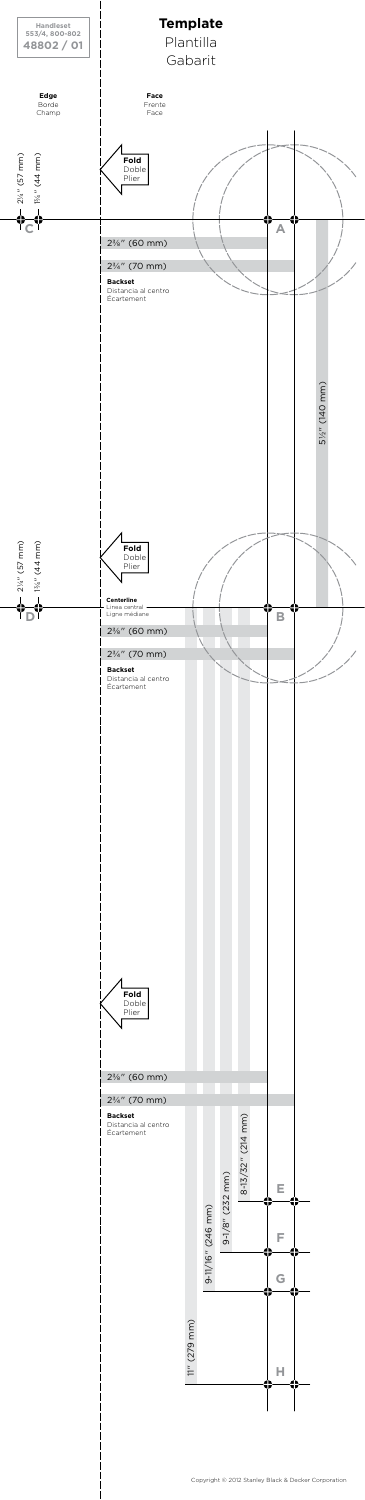